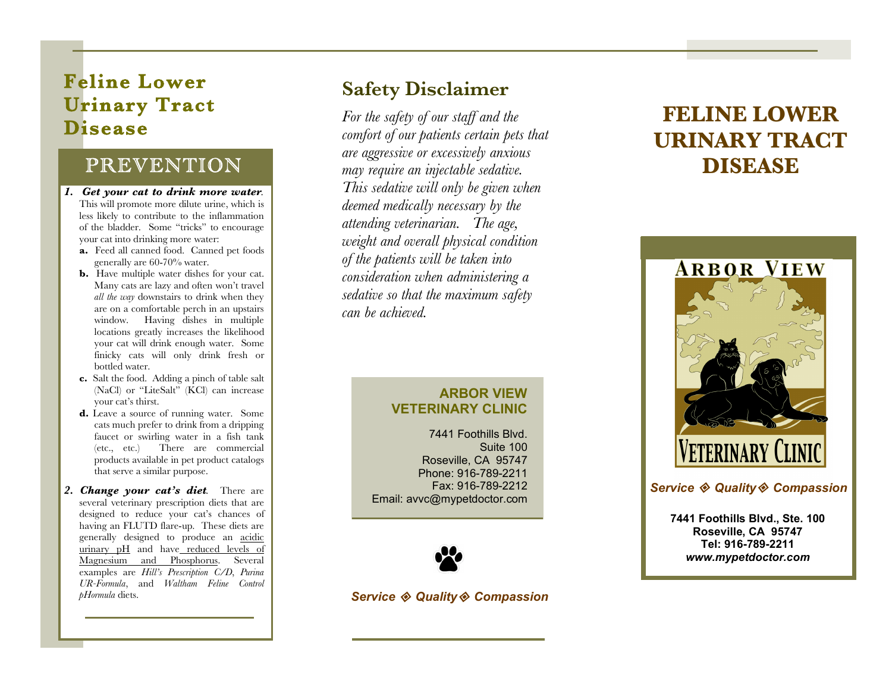## **Feline Lower Urinary Tract Disease**

## PREVENTION

- *1. Get your cat to drink more water.* This will promote more dilute urine, which is less likely to contribute to the inflammation of the bladder. Some "tricks" to encourage your cat into drinking more water:
	- **a.** Feed all canned food. Canned pet foods generally are 60-70% water.
	- **b.** Have multiple water dishes for your cat. Many cats are lazy and often won't travel *all the way* downstairs to drink when they are on a comfortable perch in an upstairs window. Having dishes in multiple locations greatly increases the likelihood your cat will drink enough water. Some finicky cats will only drink fresh or bottled water.
	- **c.** Salt the food. Adding a pinch of table salt (NaCl) or "LiteSalt" (KCl) can increase your cat's thirst.
	- **d.** Leave a source of running water. Some cats much prefer to drink from a dripping faucet or swirling water in a fish tank (etc., etc.) There are commercial products available in pet product catalogs that serve a similar purpose.
- *2. Change your cat's diet.* There are several veterinary prescription diets that are designed to reduce your cat's chances of having an FLUTD flare-up. These diets are generally designed to produce an acidic urinary pH and have reduced levels of Magnesium and Phosphorus. Several examples are *Hill's Prescription C/D*, *Purina UR-Formula*, and *Waltham Feline Control pHormula* diets.

## **Safety Disclaimer**

*For the safety of our staff and the comfort of our patients certain pets that are aggressive or excessively anxious may require an injectable sedative. This sedative will only be given when deemed medically necessary by the attending veterinarian. The age, weight and overall physical condition of the patients will be taken into consideration when administering a sedative so that the maximum safety can be achieved.* 

## **FELINE LOWER URINARY TRACT DISEASE**



#### *Service Quality Compassion*

**7441 Foothills Blvd., Ste. 100 Roseville, CA 95747 Tel: 916-789-2211**  *[www.mypetdoctor.com](http://www.mypetdoctor.com)* 

#### **ARBOR VIEW VETERINARY CLINIC**

7441 Foothills Blvd. Suite 100 Roseville, CA 95747 Phone: 916-789-2211 Fax: 916-789-2212 Email: [avvc@mypetdoctor.com](mailto:avvc@mypetdoctor.com)



*Service Quality Compassion*